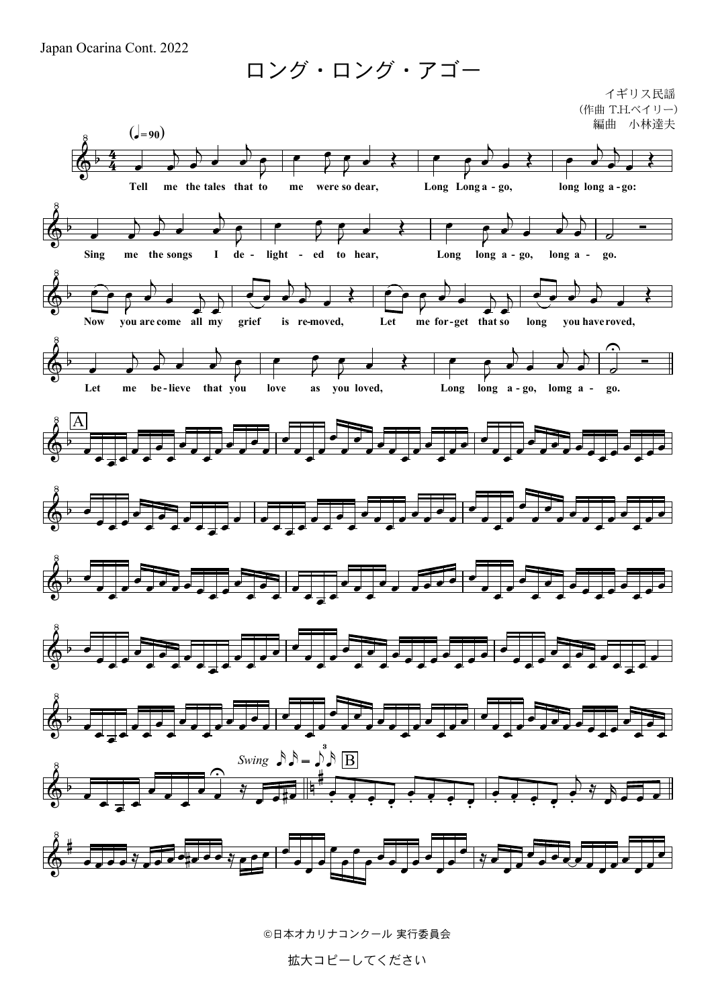Japan Ocarina Cont. 2022

ロング・ロング・アゴー

イギリス民謡 (作曲 T.H.ベイリー) 小林達夫 編曲



©日本オカリナコンクール 実行委員会

拡大コピーしてください